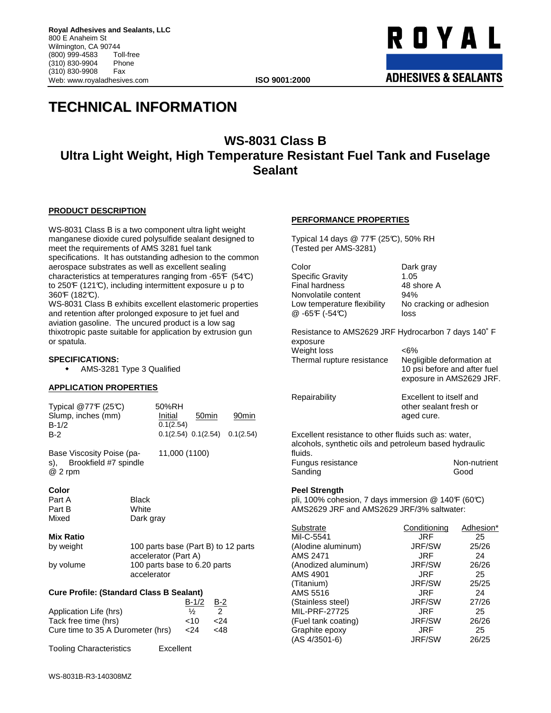ROYAL **ADHESIVES & SEALANTS** 

# **TECHNICAL INFORMATION**

# **WS-8031 Class B Ultra Light Weight, High Temperature Resistant Fuel Tank and Fuselage Sealant**

### **PRODUCT DESCRIPTION**

WS-8031 Class B is a two component ultra light weight manganese dioxide cured polysulfide sealant designed to meet the requirements of AMS 3281 fuel tank specifications. It has outstanding adhesion to the common aerospace substrates as well as excellent sealing characteristics at temperatures ranging from -65F (54°C) to 250F (121C), including intermittent exposure u p to 360°F (182°C).

WS-8031 Class B exhibits excellent elastomeric properties and retention after prolonged exposure to jet fuel and aviation gasoline. The uncured product is a low sag thixotropic paste suitable for application by extrusion gun or spatula.

#### **SPECIFICATIONS:**

AMS-3281 Type 3 Qualified

#### **APPLICATION PROPERTIES**

| Typical $@77F(25C)$<br>Slump, inches (mm)<br>$B-1/2$<br>$B-2$       | 50%RH<br>Initial<br>0.1(2.54) | 50 <sub>min</sub> | 90 <sub>min</sub><br>$0.1(2.54)$ $0.1(2.54)$ $0.1(2.54)$ |
|---------------------------------------------------------------------|-------------------------------|-------------------|----------------------------------------------------------|
| Base Viscosity Poise (pa-<br>s), Brookfield #7 spindle<br>$@$ 2 rpm | 11,000 (1100)                 |                   |                                                          |
| Color                                                               |                               |                   |                                                          |

Part A Black Part B White Mixed Dark gray **Mix Ratio**  by weight 100 parts base (Part B) to 12 parts accelerator (Part A) by volume 100 parts base to 6.20 parts accelerator **Cure Profile: (Standard Class B Sealant)** 

| <b>Ugile I Tullie. Tutalidard Ulass D</b> Ocalarity |           |               |       |
|-----------------------------------------------------|-----------|---------------|-------|
|                                                     |           | $B-1/2$       | $B-2$ |
| Application Life (hrs)                              |           | $\frac{1}{2}$ | 2     |
| Tack free time (hrs)                                |           | ~10           | 24>   |
| Cure time to 35 A Durometer (hrs)                   |           | $24$          | <48   |
| <b>Tooling Characteristics</b>                      | Excellent |               |       |

### **PERFORMANCE PROPERTIES**

Typical 14 days @ 77F (25°C), 50% RH (Tested per AMS-3281)

| Color                       | Dark gray               |
|-----------------------------|-------------------------|
| <b>Specific Gravity</b>     | 1.05                    |
| <b>Final hardness</b>       | 48 shore A              |
| Nonvolatile content         | 94%                     |
| Low temperature flexibility | No cracking or adhesion |
| $@ -65F (-54C)$             | loss                    |

Resistance to AMS2629 JRF Hydrocarbon 7 days 140˚ F exposure Weight loss <6% Thermal rupture resistance Negligible deformation at 10 psi before and after fuel exposure in AMS2629 JRF. Repairability Excellent to itself and other sealant fresh or

aged cure.

Excellent resistance to other fluids such as: water, alcohols, synthetic oils and petroleum based hydraulic fluids. Fungus resistance Non-nutrient Sanding Good

#### **Peel Strength**

pli, 100% cohesion, 7 days immersion  $@$  140 $F$  (60°C) AMS2629 JRF and AMS2629 JRF/3% saltwater:

| Substrate           | Conditioning  | Adhesion* |
|---------------------|---------------|-----------|
| Mil-C-5541          | JRF           | 25        |
| (Alodine aluminum)  | <b>JRF/SW</b> | 25/26     |
| AMS 2471            | JRF           | 24        |
| (Anodized aluminum) | <b>JRF/SW</b> | 26/26     |
| AMS 4901            | JRF           | 25        |
| (Titanium)          | <b>JRF/SW</b> | 25/25     |
| AMS 5516            | JRF           | 24        |
| (Stainless steel)   | <b>JRF/SW</b> | 27/26     |
| MIL-PRF-27725       | JRF           | 25        |
| (Fuel tank coating) | <b>JRF/SW</b> | 26/26     |
| Graphite epoxy      | <b>JRF</b>    | 25        |
| $(AS 4/3501-6)$     | <b>JRF/SW</b> | 26/25     |